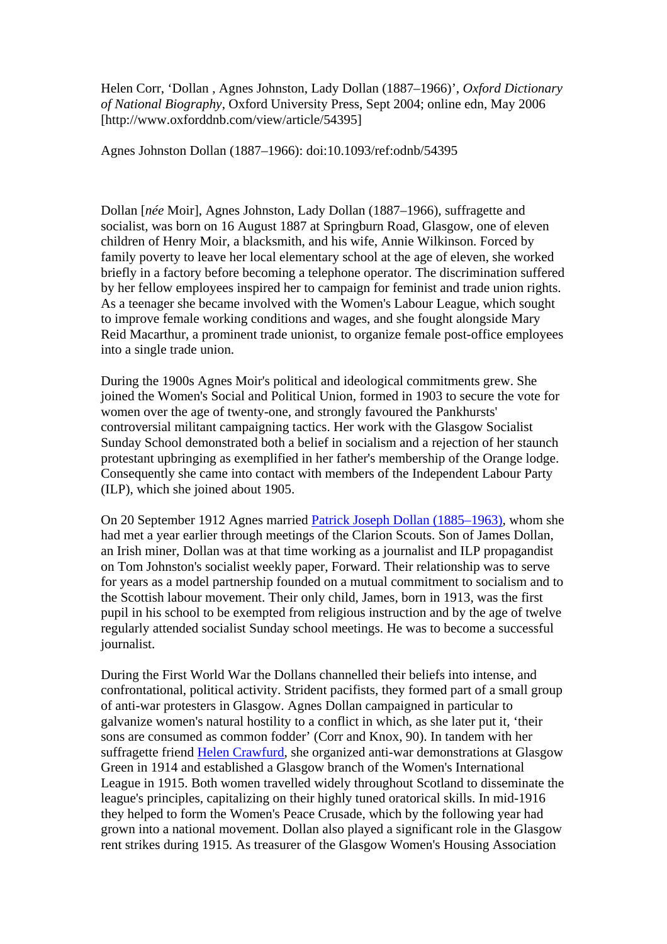Helen Corr, 'Dollan , Agnes Johnston, Lady Dollan (1887–1966)', *Oxford Dictionary of National Biography*, Oxford University Press, Sept 2004; online edn, May 2006 [http://www.oxforddnb.com/view/article/54395]

Agnes Johnston Dollan (1887–1966): doi:10.1093/ref:odnb/54395

Dollan [*née* Moir], Agnes Johnston, Lady Dollan (1887–1966), suffragette and socialist, was born on 16 August 1887 at Springburn Road, Glasgow, one of eleven children of Henry Moir, a blacksmith, and his wife, Annie Wilkinson. Forced by family poverty to leave her local elementary school at the age of eleven, she worked briefly in a factory before becoming a telephone operator. The discrimination suffered by her fellow employees inspired her to campaign for feminist and trade union rights. As a teenager she became involved with the Women's Labour League, which sought to improve female working conditions and wages, and she fought alongside Mary Reid Macarthur, a prominent trade unionist, to organize female post-office employees into a single trade union.

During the 1900s Agnes Moir's political and ideological commitments grew. She joined the Women's Social and Political Union, formed in 1903 to secure the vote for women over the age of twenty-one, and strongly favoured the Pankhursts' controversial militant campaigning tactics. Her work with the Glasgow Socialist Sunday School demonstrated both a belief in socialism and a rejection of her staunch protestant upbringing as exemplified in her father's membership of the Orange lodge. Consequently she came into contact with members of the Independent Labour Party (ILP), which she joined about 1905.

On 20 September 1912 Agnes married [Patrick Joseph Dollan \(1885–1963\)](http://www.oxforddnb.com/view/article/40305/?back=,54395), whom she had met a year earlier through meetings of the Clarion Scouts. Son of James Dollan, an Irish miner, Dollan was at that time working as a journalist and ILP propagandist on Tom Johnston's socialist weekly paper, Forward. Their relationship was to serve for years as a model partnership founded on a mutual commitment to socialism and to the Scottish labour movement. Their only child, James, born in 1913, was the first pupil in his school to be exempted from religious instruction and by the age of twelve regularly attended socialist Sunday school meetings. He was to become a successful journalist.

During the First World War the Dollans channelled their beliefs into intense, and confrontational, political activity. Strident pacifists, they formed part of a small group of anti-war protesters in Glasgow. Agnes Dollan campaigned in particular to galvanize women's natural hostility to a conflict in which, as she later put it, 'their sons are consumed as common fodder' (Corr and Knox, 90). In tandem with her suffragette friend [Helen Crawfurd,](http://www.oxforddnb.com/view/article/40301/?back=,54395) she organized anti-war demonstrations at Glasgow Green in 1914 and established a Glasgow branch of the Women's International League in 1915. Both women travelled widely throughout Scotland to disseminate the league's principles, capitalizing on their highly tuned oratorical skills. In mid-1916 they helped to form the Women's Peace Crusade, which by the following year had grown into a national movement. Dollan also played a significant role in the Glasgow rent strikes during 1915. As treasurer of the Glasgow Women's Housing Association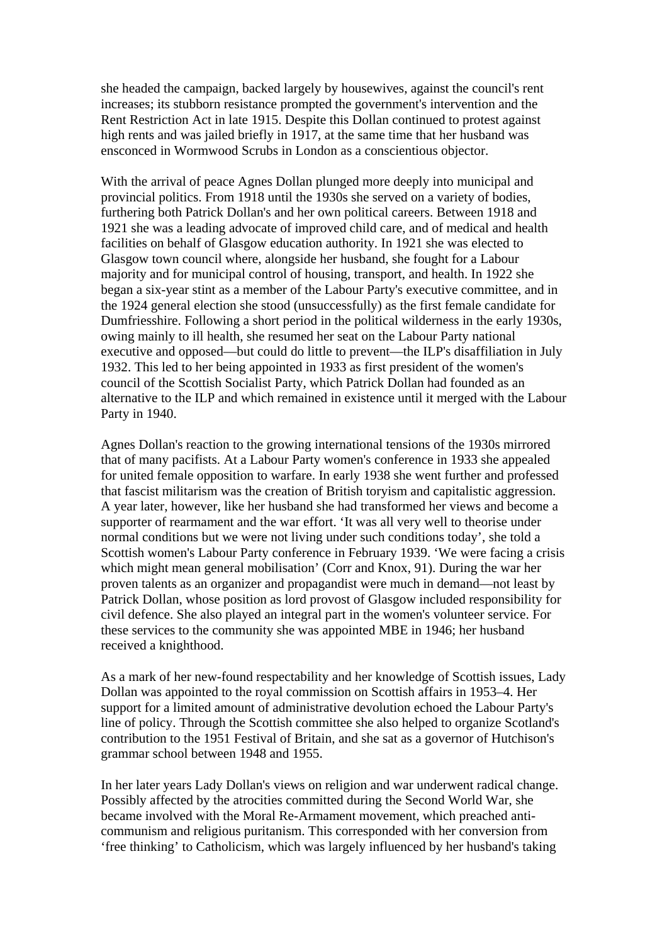she headed the campaign, backed largely by housewives, against the council's rent increases; its stubborn resistance prompted the government's intervention and the Rent Restriction Act in late 1915. Despite this Dollan continued to protest against high rents and was jailed briefly in 1917, at the same time that her husband was ensconced in Wormwood Scrubs in London as a conscientious objector.

With the arrival of peace Agnes Dollan plunged more deeply into municipal and provincial politics. From 1918 until the 1930s she served on a variety of bodies, furthering both Patrick Dollan's and her own political careers. Between 1918 and 1921 she was a leading advocate of improved child care, and of medical and health facilities on behalf of Glasgow education authority. In 1921 she was elected to Glasgow town council where, alongside her husband, she fought for a Labour majority and for municipal control of housing, transport, and health. In 1922 she began a six-year stint as a member of the Labour Party's executive committee, and in the 1924 general election she stood (unsuccessfully) as the first female candidate for Dumfriesshire. Following a short period in the political wilderness in the early 1930s, owing mainly to ill health, she resumed her seat on the Labour Party national executive and opposed—but could do little to prevent—the ILP's disaffiliation in July 1932. This led to her being appointed in 1933 as first president of the women's council of the Scottish Socialist Party, which Patrick Dollan had founded as an alternative to the ILP and which remained in existence until it merged with the Labour Party in 1940.

Agnes Dollan's reaction to the growing international tensions of the 1930s mirrored that of many pacifists. At a Labour Party women's conference in 1933 she appealed for united female opposition to warfare. In early 1938 she went further and professed that fascist militarism was the creation of British toryism and capitalistic aggression. A year later, however, like her husband she had transformed her views and become a supporter of rearmament and the war effort. 'It was all very well to theorise under normal conditions but we were not living under such conditions today', she told a Scottish women's Labour Party conference in February 1939. 'We were facing a crisis which might mean general mobilisation' (Corr and Knox, 91). During the war her proven talents as an organizer and propagandist were much in demand—not least by Patrick Dollan, whose position as lord provost of Glasgow included responsibility for civil defence. She also played an integral part in the women's volunteer service. For these services to the community she was appointed MBE in 1946; her husband received a knighthood.

As a mark of her new-found respectability and her knowledge of Scottish issues, Lady Dollan was appointed to the royal commission on Scottish affairs in 1953–4. Her support for a limited amount of administrative devolution echoed the Labour Party's line of policy. Through the Scottish committee she also helped to organize Scotland's contribution to the 1951 Festival of Britain, and she sat as a governor of Hutchison's grammar school between 1948 and 1955.

In her later years Lady Dollan's views on religion and war underwent radical change. Possibly affected by the atrocities committed during the Second World War, she became involved with the Moral Re-Armament movement, which preached anticommunism and religious puritanism. This corresponded with her conversion from 'free thinking' to Catholicism, which was largely influenced by her husband's taking